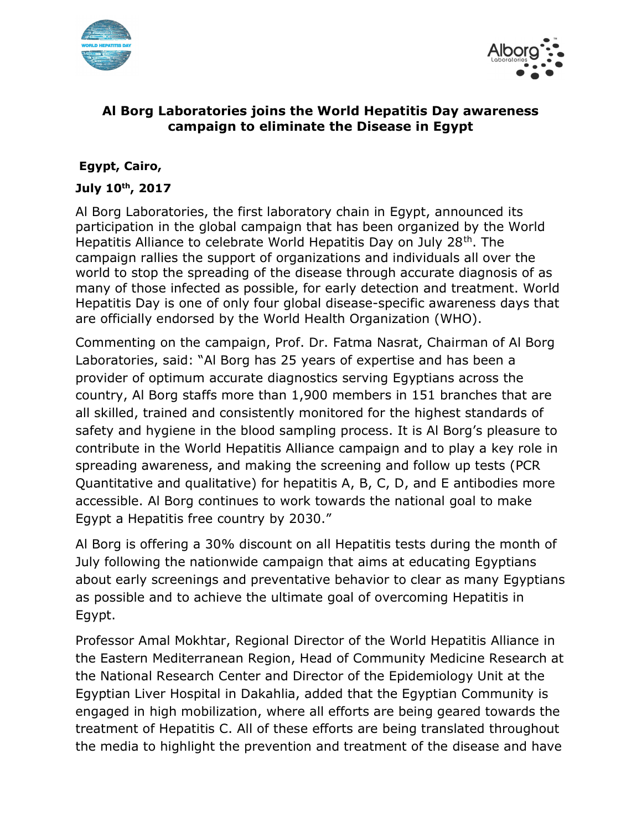



## Al Borg Laboratories joins the World Hepatitis Day awareness campaign to eliminate the Disease in Egypt

## Egypt, Cairo,

#### July 10th, 2017

Al Borg Laboratories, the first laboratory chain in Egypt, announced its participation in the global campaign that has been organized by the World Hepatitis Alliance to celebrate World Hepatitis Day on July 28th. The campaign rallies the support of organizations and individuals all over the world to stop the spreading of the disease through accurate diagnosis of as many of those infected as possible, for early detection and treatment. World Hepatitis Day is one of only four global disease-specific awareness days that are officially endorsed by the World Health Organization (WHO).

Commenting on the campaign, Prof. Dr. Fatma Nasrat, Chairman of Al Borg Laboratories, said: "Al Borg has 25 years of expertise and has been a provider of optimum accurate diagnostics serving Egyptians across the country, Al Borg staffs more than 1,900 members in 151 branches that are all skilled, trained and consistently monitored for the highest standards of safety and hygiene in the blood sampling process. It is Al Borg's pleasure to contribute in the World Hepatitis Alliance campaign and to play a key role in spreading awareness, and making the screening and follow up tests (PCR Quantitative and qualitative) for hepatitis A, B, C, D, and E antibodies more accessible. Al Borg continues to work towards the national goal to make Egypt a Hepatitis free country by 2030."

Al Borg is offering a 30% discount on all Hepatitis tests during the month of July following the nationwide campaign that aims at educating Egyptians about early screenings and preventative behavior to clear as many Egyptians as possible and to achieve the ultimate goal of overcoming Hepatitis in Egypt.

Professor Amal Mokhtar, Regional Director of the World Hepatitis Alliance in the Eastern Mediterranean Region, Head of Community Medicine Research at the National Research Center and Director of the Epidemiology Unit at the Egyptian Liver Hospital in Dakahlia, added that the Egyptian Community is engaged in high mobilization, where all efforts are being geared towards the treatment of Hepatitis C. All of these efforts are being translated throughout the media to highlight the prevention and treatment of the disease and have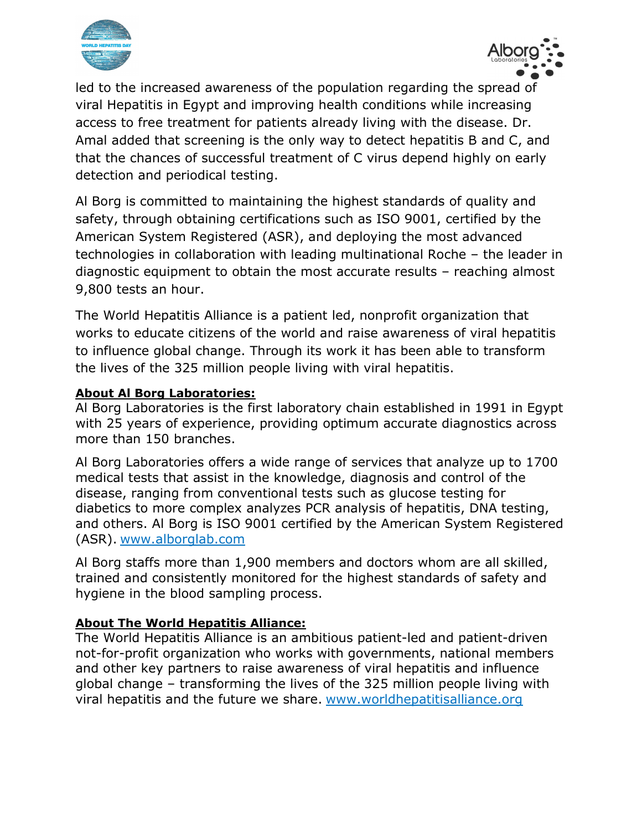



led to the increased awareness of the population regarding the spread of viral Hepatitis in Egypt and improving health conditions while increasing access to free treatment for patients already living with the disease. Dr. Amal added that screening is the only way to detect hepatitis B and C, and that the chances of successful treatment of C virus depend highly on early detection and periodical testing.

Al Borg is committed to maintaining the highest standards of quality and safety, through obtaining certifications such as ISO 9001, certified by the American System Registered (ASR), and deploying the most advanced technologies in collaboration with leading multinational Roche – the leader in diagnostic equipment to obtain the most accurate results – reaching almost 9,800 tests an hour.

The World Hepatitis Alliance is a patient led, nonprofit organization that works to educate citizens of the world and raise awareness of viral hepatitis to influence global change. Through its work it has been able to transform the lives of the 325 million people living with viral hepatitis.

#### About Al Borg Laboratories:

Al Borg Laboratories is the first laboratory chain established in 1991 in Egypt with 25 years of experience, providing optimum accurate diagnostics across more than 150 branches.

Al Borg Laboratories offers a wide range of services that analyze up to 1700 medical tests that assist in the knowledge, diagnosis and control of the disease, ranging from conventional tests such as glucose testing for diabetics to more complex analyzes PCR analysis of hepatitis, DNA testing, and others. Al Borg is ISO 9001 certified by the American System Registered (ASR). www.alborglab.com

Al Borg staffs more than 1,900 members and doctors whom are all skilled, trained and consistently monitored for the highest standards of safety and hygiene in the blood sampling process.

# About The World Hepatitis Alliance:

The World Hepatitis Alliance is an ambitious patient-led and patient-driven not-for-profit organization who works with governments, national members and other key partners to raise awareness of viral hepatitis and influence global change – transforming the lives of the 325 million people living with viral hepatitis and the future we share. www.worldhepatitisalliance.org